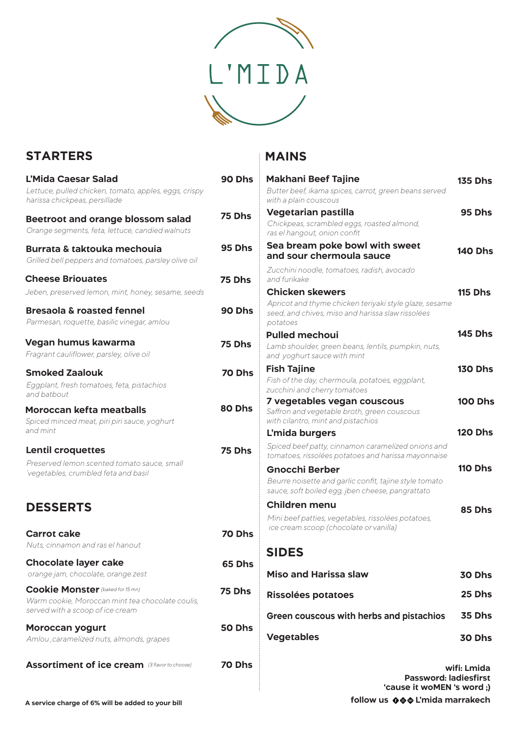

Ŧ.

## **STARTERS**

| L'Mida Caesar Salad                                                                    | 90 Dhs        | <b>Makhani Beef Tajine</b>                                                                                 |
|----------------------------------------------------------------------------------------|---------------|------------------------------------------------------------------------------------------------------------|
| Lettuce, pulled chicken, tomato, apples, eggs, crispy<br>harissa chickpeas, persillade |               | Butter beef, ikama spices, carrot, green beans serve<br>with a plain couscous                              |
| <b>Beetroot and orange blossom salad</b>                                               | 75 Dhs        | <b>Vegetarian pastilla</b>                                                                                 |
| Orange segments, feta, lettuce, candied walnuts                                        |               | Chickpeas, scrambled eggs, roasted almond,<br>ras el hangout, onion confit                                 |
| <b>Burrata &amp; taktouka mechouja</b>                                                 | <b>95 Dhs</b> | Sea bream poke bowl with sweet                                                                             |
| Grilled bell peppers and tomatoes, parsley olive oil                                   |               | and sour chermoula sauce                                                                                   |
| <b>Cheese Briouates</b>                                                                | 75 Dhs        | Zucchini noodle, tomatoes, radish, avocado<br>and furikake                                                 |
| Jeben, preserved lemon, mint, honey, sesame, seeds                                     |               | <b>Chicken skewers</b>                                                                                     |
| <b>Bresaola &amp; roasted fennel</b>                                                   | 90 Dhs        | Apricot and thyme chicken teriyaki style glaze, sesa                                                       |
| Parmesan, roquette, basilic vinegar, amlou                                             |               | seed, and chives, miso and harissa slaw rissolées<br>potatoes                                              |
|                                                                                        |               | <b>Pulled mechoui</b>                                                                                      |
| Vegan humus kawarma<br>Fragrant cauliflower, parsley, olive oil                        | 75 Dhs        | Lamb shoulder, green beans, lentils, pumpkin, nuts,<br>and yoghurt sauce with mint                         |
|                                                                                        |               | <b>Fish Tajine</b>                                                                                         |
| <b>Smoked Zaalouk</b><br>Eggplant, fresh tomatoes, feta, pistachios                    | 70 Dhs        | Fish of the day, chermoula, potatoes, eggplant,<br>zucchini and cherry tomatoes                            |
| and batbout                                                                            |               | 7 vegetables vegan couscous                                                                                |
| <b>Moroccan kefta meatballs</b><br>Spiced minced meat, piri piri sauce, yoghurt        | 80 Dhs        | Saffron and vegetable broth, green couscous<br>with cilantro, mint and pistachios                          |
| and mint                                                                               |               | L'mida burgers                                                                                             |
| <b>Lentil croquettes</b>                                                               | <b>75 Dhs</b> | Spiced beef patty, cinnamon caramelized onions ar<br>tomatoes, rissolées potatoes and harissa mayonnai.    |
| Preserved lemon scented tomato sauce, small<br>vegetables, crumbled feta and basil     |               | <b>Gnocchi Berber</b>                                                                                      |
|                                                                                        |               | Beurre noisette and garlic confit, tajine style tomate<br>sauce, soft boiled egg, jben cheese, pangrattato |
| <b>DESSERTS</b>                                                                        |               | <b>Children menu</b>                                                                                       |
|                                                                                        |               | Mini beef patties, vegetables, rissolées potatoes,                                                         |
| <b>Carrot cake</b>                                                                     | 70 Dhs        | ice cream scoop (chocolate or vanilla)                                                                     |
| Nuts, cinnamon and ras el hanout                                                       |               |                                                                                                            |
|                                                                                        |               | <b>SIDES</b>                                                                                               |
| <b>Chocolate layer cake</b>                                                            | 65 Dhs        |                                                                                                            |
| orange jam, chocolate, orange zest                                                     |               | <b>Miso and Harissa slaw</b>                                                                               |
| <b>Cookie Monster</b> (baked for 15 mn)                                                | 75 Dhs        | <b>Rissolées potatoes</b>                                                                                  |
| Warm cookie, Moroccan mint tea chocolate coulis,<br>served with a scoop of ice cream   |               | Green couscous with herbs and pistachio                                                                    |
| <b>Moroccan yogurt</b>                                                                 | 50 Dhs        |                                                                                                            |
| Amlou, caramelized nuts, almonds, grapes                                               |               | <b>Vegetables</b>                                                                                          |
| <b>Assortiment of ice cream</b> (3 flavor to choose)                                   | 70 Dhs        |                                                                                                            |
|                                                                                        |               | <b>Passwor</b>                                                                                             |
|                                                                                        |               | <b>CALISA IT WOM</b>                                                                                       |

## **MAINS**

| <b>Makhani Beef Tajine</b>                                                                                              | <b>135 Dhs</b> |
|-------------------------------------------------------------------------------------------------------------------------|----------------|
| Butter beef, ikama spices, carrot, green beans served<br>with a plain couscous                                          |                |
| <b>Vegetarian pastilla</b>                                                                                              | 95 Dhs         |
| Chickpeas, scrambled eggs, roasted almond,<br>ras el hangout, onion confit                                              |                |
| Sea bream poke bowl with sweet                                                                                          | <b>140 Dhs</b> |
| and sour chermoula sauce                                                                                                |                |
| Zucchini noodle, tomatoes, radish, avocado<br>and furikake                                                              |                |
| <b>Chicken skewers</b>                                                                                                  | <b>115 Dhs</b> |
| Apricot and thyme chicken teriyaki style glaze, sesame<br>seed, and chives, miso and harissa slaw rissolées<br>potatoes |                |
| <b>Pulled mechoui</b>                                                                                                   | <b>145 Dhs</b> |
| Lamb shoulder, green beans, lentils, pumpkin, nuts,<br>and yoghurt sauce with mint                                      |                |
| <b>Fish Tajine</b>                                                                                                      | <b>130 Dhs</b> |
| Fish of the day, chermoula, potatoes, eggplant,                                                                         |                |
| zucchini and cherry tomatoes<br>7 vegetables vegan couscous                                                             | <b>100 Dhs</b> |
| Saffron and vegetable broth, green couscous<br>with cilantro, mint and pistachios                                       |                |
| L'mida burgers                                                                                                          | <b>120 Dhs</b> |
| Spiced beef patty, cinnamon caramelized onions and<br>tomatoes, rissolées potatoes and harissa mayonnaise               |                |
| Gnocchi Berber                                                                                                          | <b>110 Dhs</b> |
| Beurre noisette and garlic confit, tajine style tomato<br>sauce, soft boiled egg, jben cheese, pangrattato              |                |
| <b>Children menu</b>                                                                                                    | 85 Dhs         |
| Mini beef patties, vegetables, rissolées potatoes,<br>ice cream scoop (chocolate or vanilla)                            |                |
| <b>SIDES</b>                                                                                                            |                |
| <b>Miso and Harissa slaw</b>                                                                                            | 30 Dhs         |
| Rissolées potatoes                                                                                                      | 25 Dhs         |
| Green couscous with herbs and pistachios                                                                                | 35 Dhs         |
| <b>Vegetables</b>                                                                                                       | 30 Dhs         |

**wifi: Lmida Password: ladiesfirst 'cause it woMEN 's word ;)**

**A service charge of 6% will be added to your bill** 

follow us  $\bigcirc \bigcirc \bigcirc$  L'mida marrakech